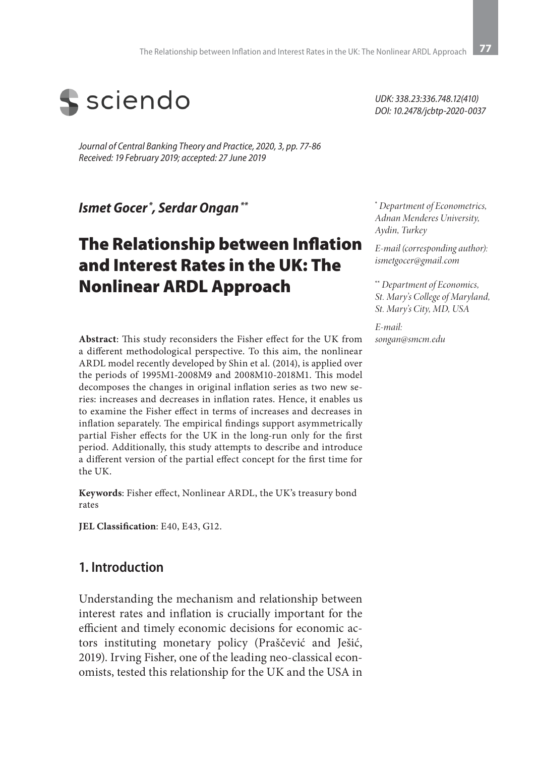

*Journal of Central Banking Theory and Practice, 2020, 3, pp. 77-86 Received: 19 February 2019; accepted: 27 June 2019*

*Ismet Gocer \*, Serdar Ongan \*\**

# The Relationship between Inflation and Interest Rates in the UK: The Nonlinear ARDL Approach

**Abstract**: This study reconsiders the Fisher effect for the UK from a different methodological perspective. To this aim, the nonlinear ARDL model recently developed by Shin et al. (2014), is applied over the periods of 1995M1-2008M9 and 2008M10-2018M1. This model decomposes the changes in original inflation series as two new series: increases and decreases in inflation rates. Hence, it enables us to examine the Fisher effect in terms of increases and decreases in inflation separately. The empirical findings support asymmetrically partial Fisher effects for the UK in the long-run only for the first period. Additionally, this study attempts to describe and introduce a different version of the partial effect concept for the first time for the UK.

**Keywords**: Fisher effect, Nonlinear ARDL, the UK's treasury bond rates

**JEL Classification**: E40, E43, G12.

### **1. Introduction**

Understanding the mechanism and relationship between interest rates and inflation is crucially important for the efficient and timely economic decisions for economic actors instituting monetary policy (Praščević and Ješić, 2019). Irving Fisher, one of the leading neo-classical economists, tested this relationship for the UK and the USA in

*UDK: 338.23:336.748.12(410) DOI: 10.2478/jcbtp-2020-0037* 

**\***  *Department of Econometrics, Adnan Menderes University, Aydin, Turkey*

*E-mail (corresponding author): ismetgocer@gmail.com*

**\*\*** *Department of Economics, St. Mary's College of Maryland, St. Mary's City, MD, USA*

*E-mail: songan@smcm.edu*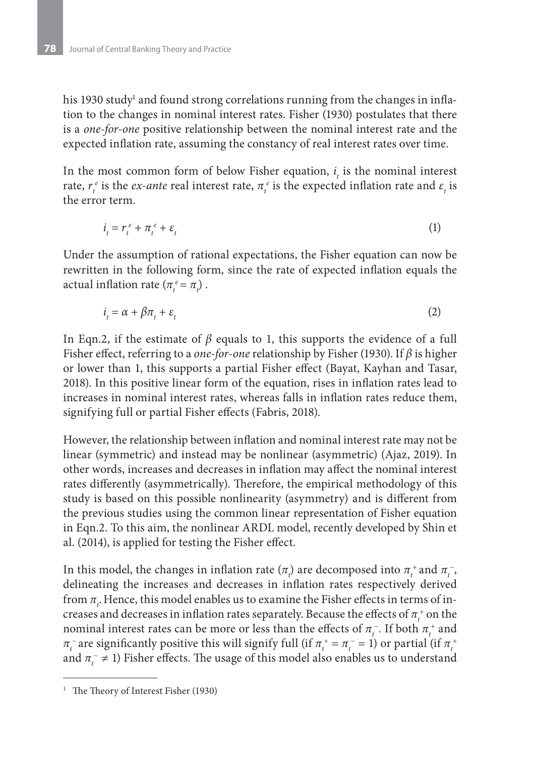his 1930 study<sup>1</sup> and found strong correlations running from the changes in inflation to the changes in nominal interest rates. Fisher (1930) postulates that there is a *one-for-one* positive relationship between the nominal interest rate and the expected inflation rate, assuming the constancy of real interest rates over time.

In the most common form of below Fisher equation,  $i<sub>t</sub>$  is the nominal interest rate,  $r_t^e$  is the *ex-ante* real interest rate,  $\pi_t^e$  is the expected inflation rate and  $\varepsilon_t$  is the error term.

$$
i_t = r_t^e + \pi_t^e + \varepsilon_t \tag{1}
$$

Under the assumption of rational expectations, the Fisher equation can now be rewritten in the following form, since the rate of expected inflation equals the actual inflation rate  $(\pi_t^e = \pi_t)$ .

$$
i_t = \alpha + \beta \pi_t + \varepsilon_t \tag{2}
$$

In Eqn.2, if the estimate of *β* equals to 1, this supports the evidence of a full Fisher effect, referring to a *one-for-one* relationship by Fisher (1930). If *β* is higher or lower than 1, this supports a partial Fisher effect (Bayat, Kayhan and Tasar, 2018). In this positive linear form of the equation, rises in inflation rates lead to increases in nominal interest rates, whereas falls in inflation rates reduce them, signifying full or partial Fisher effects (Fabris, 2018).

However, the relationship between inflation and nominal interest rate may not be linear (symmetric) and instead may be nonlinear (asymmetric) (Ajaz, 2019). In other words, increases and decreases in inflation may affect the nominal interest rates differently (asymmetrically). Therefore, the empirical methodology of this study is based on this possible nonlinearity (asymmetry) and is different from the previous studies using the common linear representation of Fisher equation in Eqn.2. To this aim, the nonlinear ARDL model, recently developed by Shin et al. (2014), is applied for testing the Fisher effect.

In this model, the changes in inflation rate  $(π<sub>i</sub>)$  are decomposed into  $π<sub>i</sub><sup>+</sup>$  and  $π<sub>i</sub><sup>-</sup>$ , delineating the increases and decreases in inflation rates respectively derived from  $\pi_{_{\!I}}$ . Hence, this model enables us to examine the Fisher effects in terms of increases and decreases in inflation rates separately. Because the effects of  $\pi^{\text{+}}_{t}$  on the nominal interest rates can be more or less than the effects of  $\pi_t^-$ . If both  $\pi_t^+$  and  $\pi_t^-$  are significantly positive this will signify full (if  $\pi_t^+ = \pi_t^- = 1$ ) or partial (if  $\pi_t^+$ and  $\pi_t^- \neq 1$ ) Fisher effects. The usage of this model also enables us to understand

<sup>&</sup>lt;sup>1</sup> The Theory of Interest Fisher (1930)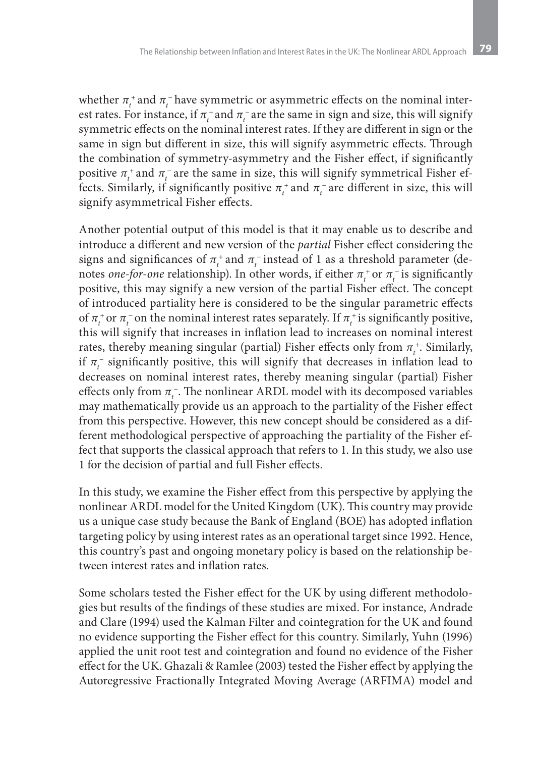whether  $\pi_t^+$  and  $\pi_t^-$  have symmetric or asymmetric effects on the nominal interest rates. For instance, if  $\pi_t^+$  and  $\pi_t^-$  are the same in sign and size, this will signify symmetric effects on the nominal interest rates. If they are different in sign or the same in sign but different in size, this will signify asymmetric effects. Through the combination of symmetry-asymmetry and the Fisher effect, if significantly positive  $\pi_t^+$  and  $\pi_t^-$  are the same in size, this will signify symmetrical Fisher effects. Similarly, if significantly positive  $\pi_t^+$  and  $\pi_t^-$  are different in size, this will signify asymmetrical Fisher effects.

Another potential output of this model is that it may enable us to describe and introduce a different and new version of the *partial* Fisher effect considering the signs and significances of  $\pi_t^+$  and  $\pi_t^-$  instead of 1 as a threshold parameter (denotes *one-for-one* relationship). In other words, if either  $\pi_t^+$  or  $\pi_t^-$  is significantly positive, this may signify a new version of the partial Fisher effect. The concept of introduced partiality here is considered to be the singular parametric effects of  $\pi_t^+$  or  $\pi_t^-$  on the nominal interest rates separately. If  $\pi_t^+$  is significantly positive, this will signify that increases in inflation lead to increases on nominal interest rates, thereby meaning singular (partial) Fisher effects only from  $\pi_t^*$ . Similarly, if  $\pi_t^-$  significantly positive, this will signify that decreases in inflation lead to decreases on nominal interest rates, thereby meaning singular (partial) Fisher effects only from  $\pi_{\iota}^-$ . The nonlinear ARDL model with its decomposed variables may mathematically provide us an approach to the partiality of the Fisher effect from this perspective. However, this new concept should be considered as a different methodological perspective of approaching the partiality of the Fisher effect that supports the classical approach that refers to 1. In this study, we also use 1 for the decision of partial and full Fisher effects.

In this study, we examine the Fisher effect from this perspective by applying the nonlinear ARDL model for the United Kingdom (UK). This country may provide us a unique case study because the Bank of England (BOE) has adopted inflation targeting policy by using interest rates as an operational target since 1992. Hence, this country's past and ongoing monetary policy is based on the relationship between interest rates and inflation rates.

Some scholars tested the Fisher effect for the UK by using different methodologies but results of the findings of these studies are mixed. For instance, Andrade and Clare (1994) used the Kalman Filter and cointegration for the UK and found no evidence supporting the Fisher effect for this country. Similarly, Yuhn (1996) applied the unit root test and cointegration and found no evidence of the Fisher effect for the UK. Ghazali & Ramlee (2003) tested the Fisher effect by applying the Autoregressive Fractionally Integrated Moving Average (ARFIMA) model and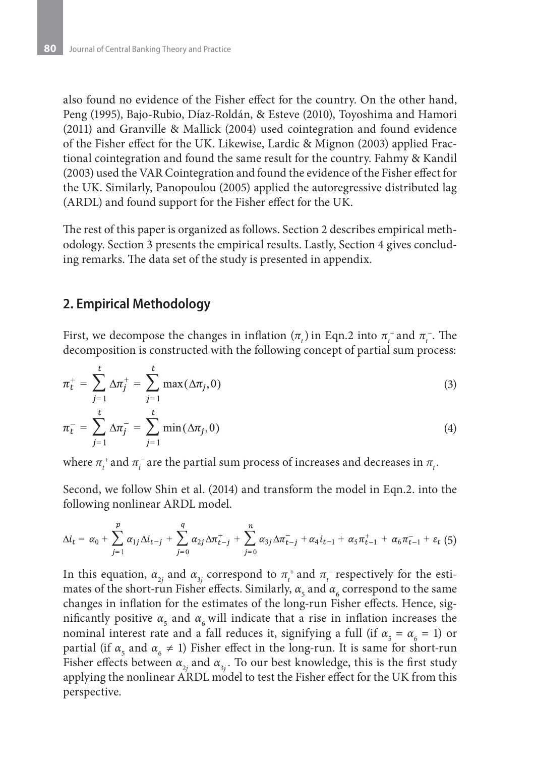also found no evidence of the Fisher effect for the country. On the other hand, Peng (1995), Bajo-Rubio, Díaz-Roldán, & Esteve (2010), Toyoshima and Hamori (2011) and Granville & Mallick (2004) used cointegration and found evidence of the Fisher effect for the UK. Likewise, Lardic & Mignon (2003) applied Fractional cointegration and found the same result for the country. Fahmy & Kandil (2003) used the VAR Cointegration and found the evidence of the Fisher effect for the UK. Similarly, Panopoulou (2005) applied the autoregressive distributed lag (ARDL) and found support for the Fisher effect for the UK.

The rest of this paper is organized as follows. Section 2 describes empirical methodology. Section 3 presents the empirical results. Lastly, Section 4 gives concluding remarks. The data set of the study is presented in appendix.

### **2. Empirical Methodology**

First, we decompose the changes in inflation  $(\pi_t)$  in Eqn.2 into  $\pi_t^+$  and  $\pi_t^-$ . The decomposition is constructed with the following concept of partial sum process:

$$
\pi_t^+ = \sum_{j=1}^t \Delta \pi_j^+ = \sum_{j=1}^t \max(\Delta \pi_j, 0)
$$
 (3)

$$
\pi_t^- = \sum_{j=1}^t \Delta \pi_j^- = \sum_{j=1}^t \min(\Delta \pi_j, 0) \tag{4}
$$

where  $\pi_t^+$  and  $\pi_t^-$  are the partial sum process of increases and decreases in  $\pi_t$ .

Second, we follow Shin et al. (2014) and transform the model in Eqn.2. into the following nonlinear ARDL model.

$$
\Delta i_t = \alpha_0 + \sum_{j=1}^p \alpha_{1j} \Delta i_{t-j} + \sum_{j=0}^q \alpha_{2j} \Delta \pi_{t-j}^+ + \sum_{j=0}^n \alpha_{3j} \Delta \pi_{t-j}^- + \alpha_4 i_{t-1} + \alpha_5 \pi_{t-1}^+ + \alpha_6 \pi_{t-1}^- + \varepsilon_t (5)
$$

In this equation,  $\alpha_{2j}$  and  $\alpha_{3j}$  correspond to  $\pi_t^+$  and  $\pi_t^-$  respectively for the estimates of the short-run Fisher effects. Similarly,  $\alpha_{_5}$  and  $\alpha_{_6}$  correspond to the same changes in inflation for the estimates of the long-run Fisher effects. Hence, significantly positive  $\alpha_{5}$  and  $\alpha_{6}$  will indicate that a rise in inflation increases the nominal interest rate and a fall reduces it, signifying a full (if  $\alpha_{5} = \alpha_{6} = 1$ ) or partial (if  $\alpha_{5}$  and  $\alpha_{6} \neq 1$ ) Fisher effect in the long-run. It is same for short-run Fisher effects between  $\alpha_{_{2j}}$  and  $\alpha_{_{3j}}.$  To our best knowledge, this is the first study applying the nonlinear ARDL model to test the Fisher effect for the UK from this perspective.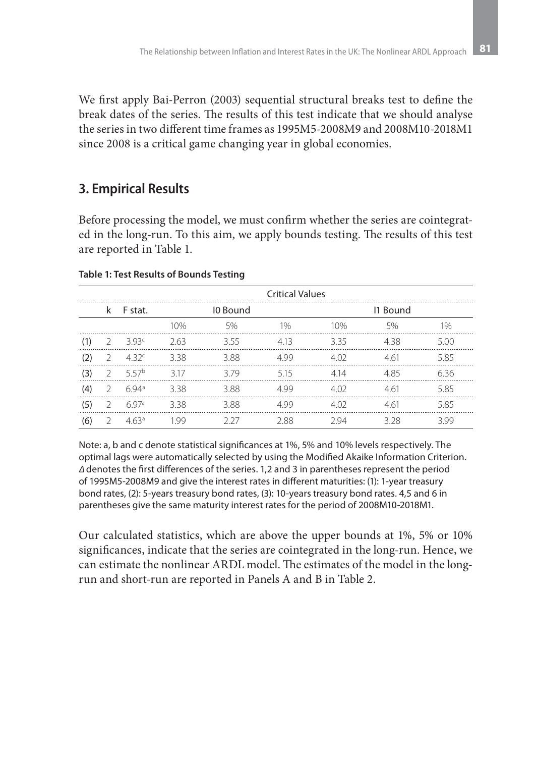We first apply Bai-Perron (2003) sequential structural breaks test to define the break dates of the series. The results of this test indicate that we should analyse the series in two different time frames as 1995M5-2008M9 and 2008M10-2018M1 since 2008 is a critical game changing year in global economies.

# **3. Empirical Results**

Before processing the model, we must confirm whether the series are cointegrated in the long-run. To this aim, we apply bounds testing. The results of this test are reported in Table 1.

|     | <b>Critical Values</b> |                  |      |          |       |                  |      |      |  |  |  |  |
|-----|------------------------|------------------|------|----------|-------|------------------|------|------|--|--|--|--|
|     |                        | k Fstat.         |      | 10 Bound |       | 11 Bound         |      |      |  |  |  |  |
|     |                        |                  | 10%  | 5%       | $1\%$ | 10%              | 5%   | 1%   |  |  |  |  |
| (1) |                        | 3.93c            | 263  | 355      | 4.13  | 335              | 438  | 5.00 |  |  |  |  |
| (2) |                        | 4.32c            | 338  | 388      | 499   | 4.02             | 4.61 | 5.85 |  |  |  |  |
| (3) |                        | 557b             | 317  | 379      | 515   | 414              | 485  | 6.36 |  |  |  |  |
| (4) | 2                      | $694^a$          | 338  | 388      | 499   | 4.O <sub>2</sub> | 461  | 585  |  |  |  |  |
| (5) |                        | 697 <sup>a</sup> | 338  | 3.88     | 499   | 4.02             | 4.61 | 5.85 |  |  |  |  |
| (6) |                        | 463 <sup>a</sup> | 1 99 | 7 77     | 2.88  | 294              | 328  | 399  |  |  |  |  |

#### **Table 1: Test Results of Bounds Testing**

Note: a, b and c denote statistical significances at 1%, 5% and 10% levels respectively. The optimal lags were automatically selected by using the Modified Akaike Information Criterion. *∆* denotes the first differences of the series. 1,2 and 3 in parentheses represent the period of 1995M5-2008M9 and give the interest rates in different maturities: (1): 1-year treasury bond rates, (2): 5-years treasury bond rates, (3): 10-years treasury bond rates. 4,5 and 6 in parentheses give the same maturity interest rates for the period of 2008M10-2018M1.

Our calculated statistics, which are above the upper bounds at 1%, 5% or 10% significances, indicate that the series are cointegrated in the long-run. Hence, we can estimate the nonlinear ARDL model. The estimates of the model in the longrun and short-run are reported in Panels A and B in Table 2.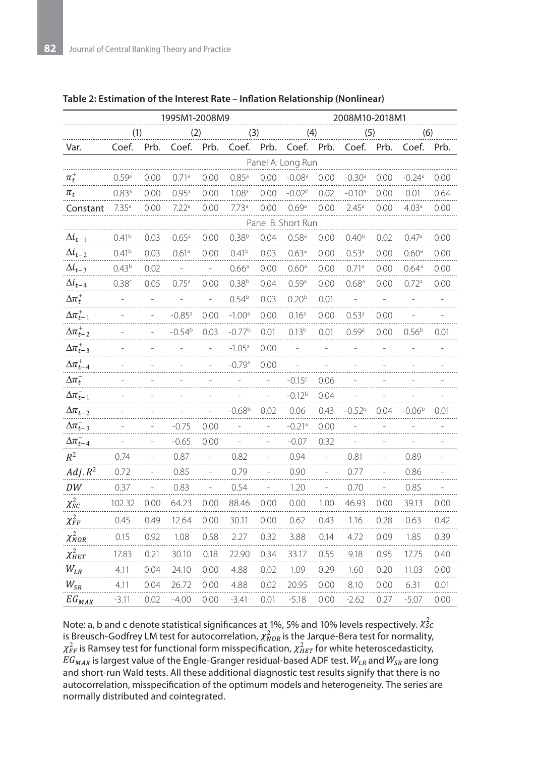|                                   | 1995M1-2008M9      |      |                      |      |                   | 2008M10-2018M1 |                      |      |                   |      |                    |      |
|-----------------------------------|--------------------|------|----------------------|------|-------------------|----------------|----------------------|------|-------------------|------|--------------------|------|
|                                   | (1)                |      | (2)                  |      | (3)               |                | (4)                  |      | (5)               |      | (6)                |      |
| Var.                              | Coef.              | Prb. | Coef.                | Prb. | Coef.             | Prb.           | Coef.                | Prb. | Coef.             | Prb. | Coef.              | Prb. |
| Panel A: Long Run                 |                    |      |                      |      |                   |                |                      |      |                   |      |                    |      |
| $\pi^*_t$                         | 0.59 <sup>a</sup>  | 0.00 | 0.71a                | 0.00 | $0.85^{\circ}$    | 0.00           | $-0.08$ <sup>a</sup> | 0.00 | $-0.30a$          | 0.00 | $-0.24a$           | 0.00 |
| $\pi_t^-$                         | 0.83a              | 0.00 | 0.95a                | 0.00 | 1.08 <sup>a</sup> | 0.00           | $-0.02b$             | 0.02 | $-0.10a$          | 0.00 | 0.01               | 0.64 |
| Constant                          | 7.35 <sup>a</sup>  | 0.00 | 7.22 <sup>a</sup>    | 0.00 | 7.73a             | 0.00           | 0.69a                | 0.00 | 2.45 <sup>a</sup> | 0.00 | 4.03 <sup>a</sup>  | 0.00 |
|                                   | Panel B: Short Run |      |                      |      |                   |                |                      |      |                   |      |                    |      |
| $\Delta i_{t-1}$                  | 0.41 <sup>b</sup>  | 0.03 | 0.65a                | 0.00 | $0.38^{b}$        | 0.04           | 0.58 <sup>a</sup>    | 0.00 | 0.40 <sup>b</sup> | 0.02 | 0.47a              | 0.00 |
| $\Delta i_{t-2}$                  | 0.41 <sup>b</sup>  | 0.03 | 0.61 <sup>a</sup>    | 0.00 | 0.41 <sup>b</sup> | 0.03           | 0.63 <sup>a</sup>    | 0.00 | 0.53 <sup>a</sup> | 0.00 | 0.60 <sup>a</sup>  | 0.00 |
| $\Delta i_{t-3}$                  | 0.43 <sup>b</sup>  | 0.02 |                      |      | 0.66 <sup>a</sup> | 0.00           | 0.60 <sup>a</sup>    | 0.00 | 0.71a             | 0.00 | 0.64 <sup>a</sup>  | 0.00 |
| $\Delta i_{t-4}$                  | 0.38 <sup>c</sup>  | 0.05 | 0.75a                | 0.00 | 0.38 <sup>b</sup> | 0.04           | 0.59 <sup>a</sup>    | 0.00 | 0.68 <sup>a</sup> | 0.00 | 0.72a              | 0.00 |
| $\Delta$ $\pi^+_t$                |                    |      |                      |      | 0.54 <sup>b</sup> | 0.03           | 0.20 <sup>b</sup>    | 0.01 |                   |      |                    |      |
| $\Delta \pi^+_{t-1}$              |                    |      | $-0.85$ <sup>a</sup> | 0.00 | $-1.00a$          | 0.00           | 0.16 <sup>a</sup>    | 0.00 | $0.53^{a}$        | 0.00 |                    |      |
| $\Delta \pi^+_{t-2}$              |                    |      | $-0.54b$             | 0.03 | $-0.77b$          | 0.01           | 0.13 <sup>b</sup>    | 0.01 | 0.59a             | 0.00 | 0.56 <sup>b</sup>  | 0.01 |
| $\Delta \pi^+_{t-3}$              |                    |      |                      |      | $-1.05a$          | 0.00           |                      |      |                   |      |                    |      |
| $\Delta \pi^+_{t-4}$              |                    |      |                      |      | $-0.79a$          | 0.00           |                      |      |                   |      |                    |      |
| $\Delta \pi_t^-$                  |                    |      |                      |      |                   |                | $-0.15c$             | 0.06 |                   |      |                    |      |
| $\Delta \pi_{t-1}^-$              |                    |      |                      |      |                   |                | $-0.12b$             | 0.04 |                   |      |                    |      |
| $\Delta \overline{n}_{t-2}$       |                    |      |                      |      | $-0.68b$          | 0.02           | 0.06                 | 0.43 | -0.52b            | 0.04 | -0.06 <sup>b</sup> | 0.01 |
| $\Delta \overline{n}_{t-3}^-$     |                    |      | $-0.75$              | 0.00 |                   |                | $-0.21a$             | 0.00 |                   |      |                    |      |
| $\Delta\pi^-_{t-4}$               |                    |      | $-0.65$              | 0.00 |                   |                | $-0.07$              | 0.32 |                   |      |                    |      |
| $R^2$                             | 0.74               |      | 0.87                 |      | 0.82              |                | 0.94                 |      | 0.81              |      | 0.89               |      |
| $Adj. R^2$                        | 0.72               |      | 0.85                 |      | 0.79              |                | 0.90                 |      | 0.77              |      | 0.86               |      |
| DW                                | 0.37               |      | 0.83                 |      | 0.54              |                | 1.20                 |      | 0.70              |      | 0.85               |      |
| $\chi^2_{\scriptscriptstyle{S}C}$ | 102.32             | 0.00 | 64.23                | 0.00 | 88.46             | 0.00           | 0.00                 | 1.00 | 46.93             | 0.00 | 39.13              | 0.00 |
| $\chi^2_{FF}$                     | 0.45               | 0.49 | 12.64                | 0.00 | 30.11             | 0.00           | 0.62                 | 0.43 | 1.16              | 0.28 | 0.63               | 0.42 |
| $\chi^2_{NOR}$                    | 0.15               | 0.92 | 1.08                 | 0.58 | 2.27              | 0.32           | 3.88                 | 0.14 | 4.72              | 0.09 | 1.85               | 0.39 |
| $\chi^2_{HET}$                    | 17.83              | 0.21 | 30.10                | 0.18 | 22.90             | 0.34           | 33.17                | 0.55 | 9.18              | 0.95 | 17.75              | 0.40 |
| $W_{LR}$                          | 4.11               | 0.04 | 24.10                | 0.00 | 4.88              | 0.02           | 1.09                 | 0.29 | 1.60              | 0.20 | 11.03              | 0.00 |
| $W_{SR}$                          | 4.11               | 0.04 | 26.72                | 0.00 | 4.88              | 0.02           | 20.95                | 0.00 | 8.10              | 0.00 | 6.31               | 0.01 |
| $EG_{MAX}$                        | $-3.11$            | 0.02 | $-4.00$              | 0.00 | $-3.41$           | 0.01           | $-5.18$              | 0.00 | $-2.62$           | 0.27 | $-5.07$            | 0.00 |

#### **Table 2: Estimation of the Interest Rate – Inflation Relationship (Nonlinear)**

Note: a, b and c denote statistical significances at 1%, 5% and 10% levels respectively.  $\chi^2_{SC}$ is Breusch-Godfrey LM test for autocorrelation,  $\chi^2_{NOR}$  is the Jarque-Bera test for normality,  $\chi^2_{FF}$  is Ramsey test for functional form misspecification,  $\chi^2_{HET}$  for white heteroscedasticity,  $EG_{MAX}$  is largest value of the Engle-Granger residual-based ADF test.  $W_{LR}$  and  $W_{SR}$  are long and short-run Wald tests. All these additional diagnostic test results signify that there is no autocorrelation, misspecification of the optimum models and heterogeneity. The series are normally distributed and cointegrated.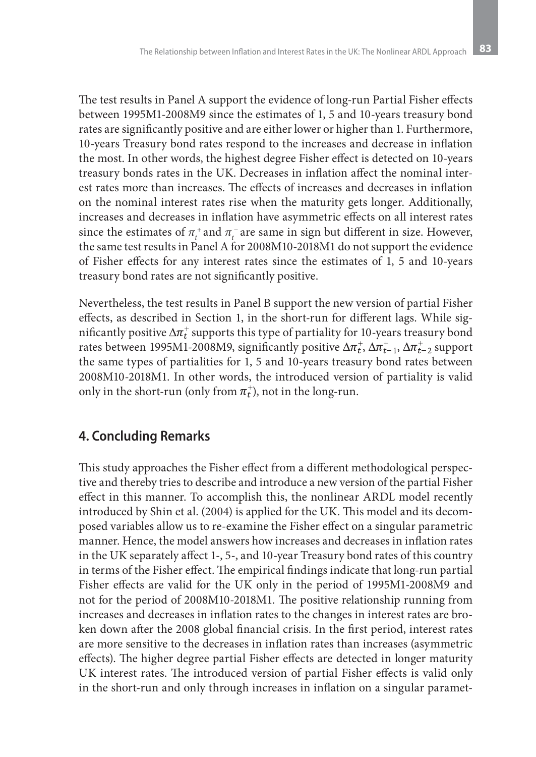The test results in Panel A support the evidence of long-run Partial Fisher effects between 1995M1-2008M9 since the estimates of 1, 5 and 10-years treasury bond rates are significantly positive and are either lower or higher than 1. Furthermore, 10-years Treasury bond rates respond to the increases and decrease in inflation the most. In other words, the highest degree Fisher effect is detected on 10-years treasury bonds rates in the UK. Decreases in inflation affect the nominal interest rates more than increases. The effects of increases and decreases in inflation on the nominal interest rates rise when the maturity gets longer. Additionally, increases and decreases in inflation have asymmetric effects on all interest rates since the estimates of  $\pi_t^+$  and  $\pi_t^-$  are same in sign but different in size. However, the same test results in Panel A for 2008M10-2018M1 do not support the evidence of Fisher effects for any interest rates since the estimates of 1, 5 and 10-years treasury bond rates are not significantly positive.

Nevertheless, the test results in Panel B support the new version of partial Fisher effects, as described in Section 1, in the short-run for different lags. While significantly positive  $\Delta \pi_t^+$  supports this type of partiality for 10-years treasury bond rates between 1995M1-2008M9, significantly positive  $\Delta \pi_t^+$ ,  $\Delta \pi_{t-1}^+$ ,  $\Delta \pi_{t-2}^+$  support the same types of partialities for 1, 5 and 10-years treasury bond rates between 2008M10-2018M1. In other words, the introduced version of partiality is valid only in the short-run (only from  $\pi_t^+$ ), not in the long-run.

### **4. Concluding Remarks**

This study approaches the Fisher effect from a different methodological perspective and thereby tries to describe and introduce a new version of the partial Fisher effect in this manner. To accomplish this, the nonlinear ARDL model recently introduced by Shin et al. (2004) is applied for the UK. This model and its decomposed variables allow us to re-examine the Fisher effect on a singular parametric manner. Hence, the model answers how increases and decreases in inflation rates in the UK separately affect 1-, 5-, and 10-year Treasury bond rates of this country in terms of the Fisher effect. The empirical findings indicate that long-run partial Fisher effects are valid for the UK only in the period of 1995M1-2008M9 and not for the period of 2008M10-2018M1. The positive relationship running from increases and decreases in inflation rates to the changes in interest rates are broken down after the 2008 global financial crisis. In the first period, interest rates are more sensitive to the decreases in inflation rates than increases (asymmetric effects). The higher degree partial Fisher effects are detected in longer maturity UK interest rates. The introduced version of partial Fisher effects is valid only in the short-run and only through increases in inflation on a singular paramet-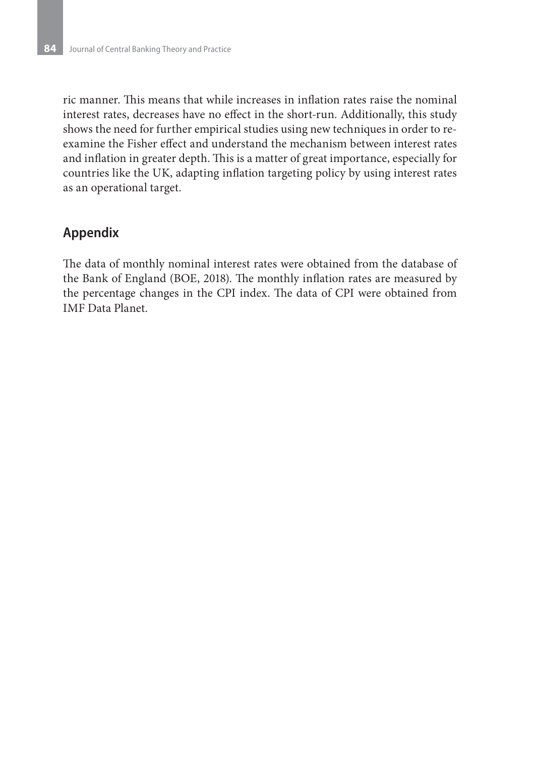ric manner. This means that while increases in inflation rates raise the nominal interest rates, decreases have no effect in the short-run. Additionally, this study shows the need for further empirical studies using new techniques in order to reexamine the Fisher effect and understand the mechanism between interest rates and inflation in greater depth. This is a matter of great importance, especially for countries like the UK, adapting inflation targeting policy by using interest rates as an operational target.

# **Appendix**

The data of monthly nominal interest rates were obtained from the database of the Bank of England (BOE, 2018). The monthly inflation rates are measured by the percentage changes in the CPI index. The data of CPI were obtained from IMF Data Planet.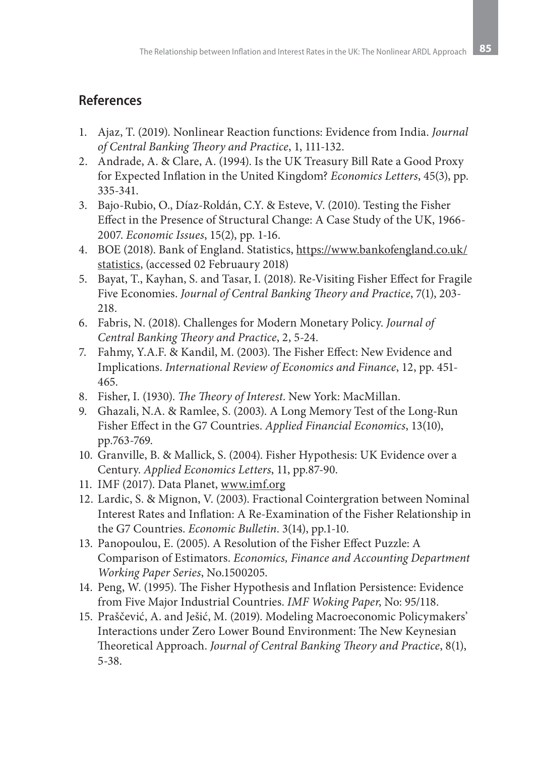# **References**

- 1. Ajaz, T. (2019). Nonlinear Reaction functions: Evidence from India. *Journal of Central Banking Theory and Practice*, 1, 111-132.
- 2. Andrade, A. & Clare, A. (1994). Is the UK Treasury Bill Rate a Good Proxy for Expected Inflation in the United Kingdom? *Economics Letters*, 45(3), pp. 335-341.
- 3. Bajo-Rubio, O., Díaz-Roldán, C.Y. & Esteve, V. (2010). Testing the Fisher Effect in the Presence of Structural Change: A Case Study of the UK, 1966- 2007. *Economic Issues*, 15(2), pp. 1-16.
- 4. BOE (2018). Bank of England. Statistics, https://www.bankofengland.co.uk/ statistics, (accessed 02 Februaury 2018)
- 5. Bayat, T., Kayhan, S. and Tasar, I. (2018). Re-Visiting Fisher Effect for Fragile Five Economies. *Journal of Central Banking Theory and Practice*, 7(1), 203- 218.
- 6. Fabris, N. (2018). Challenges for Modern Monetary Policy. *Journal of Central Banking Theory and Practice*, 2, 5-24.
- 7. Fahmy, Y.A.F. & Kandil, M. (2003). The Fisher Effect: New Evidence and Implications. *International Review of Economics and Finance*, 12, pp. 451- 465.
- 8. Fisher, I. (1930). *The Theory of Interest*. New York: MacMillan.
- 9. Ghazali, N.A. & Ramlee, S. (2003). A Long Memory Test of the Long-Run Fisher Effect in the G7 Countries. *Applied Financial Economics*, 13(10), pp.763-769.
- 10. Granville, B. & Mallick, S. (2004). Fisher Hypothesis: UK Evidence over a Century. *Applied Economics Letters*, 11, pp.87-90.
- 11. IMF (2017). Data Planet, www.imf.org
- 12. Lardic, S. & Mignon, V. (2003). Fractional Cointergration between Nominal Interest Rates and Inflation: A Re-Examination of the Fisher Relationship in the G7 Countries. *Economic Bulletin*. 3(14), pp.1-10.
- 13. Panopoulou, E. (2005). A Resolution of the Fisher Effect Puzzle: A Comparison of Estimators. *Economics, Finance and Accounting Department Working Paper Series*, No.1500205.
- 14. Peng, W. (1995). The Fisher Hypothesis and Inflation Persistence: Evidence from Five Major Industrial Countries. *IMF Woking Paper*, No: 95/118.
- 15. Praščević, A. and Ješić, M. (2019). Modeling Macroeconomic Policymakers' Interactions under Zero Lower Bound Environment: The New Keynesian Theoretical Approach. *Journal of Central Banking Theory and Practice*, 8(1), 5-38.